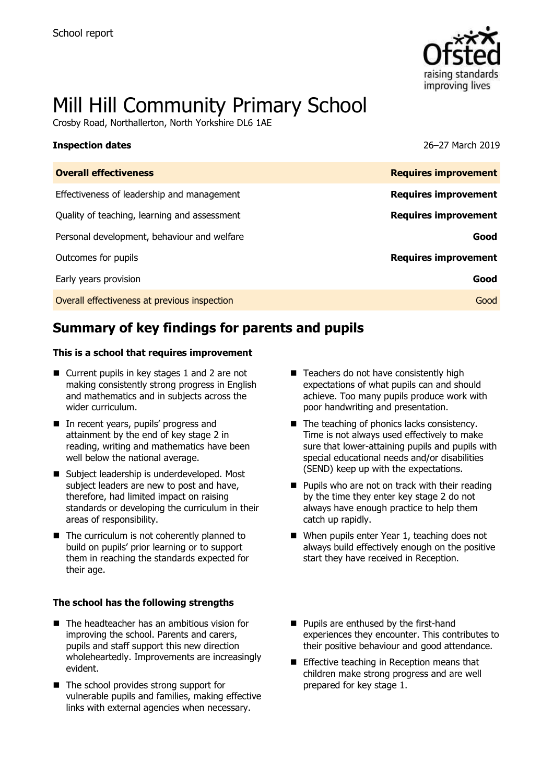

# Mill Hill Community Primary School

Crosby Road, Northallerton, North Yorkshire DL6 1AE

### **Inspection dates** 26–27 March 2019

| <b>Overall effectiveness</b>                 | <b>Requires improvement</b> |
|----------------------------------------------|-----------------------------|
| Effectiveness of leadership and management   | <b>Requires improvement</b> |
| Quality of teaching, learning and assessment | <b>Requires improvement</b> |
| Personal development, behaviour and welfare  | Good                        |
| Outcomes for pupils                          | <b>Requires improvement</b> |
| Early years provision                        | Good                        |
| Overall effectiveness at previous inspection | Good                        |
|                                              |                             |

# **Summary of key findings for parents and pupils**

### **This is a school that requires improvement**

- Current pupils in key stages 1 and 2 are not making consistently strong progress in English and mathematics and in subjects across the wider curriculum.
- In recent years, pupils' progress and attainment by the end of key stage 2 in reading, writing and mathematics have been well below the national average.
- Subject leadership is underdeveloped. Most subject leaders are new to post and have, therefore, had limited impact on raising standards or developing the curriculum in their areas of responsibility.
- $\blacksquare$  The curriculum is not coherently planned to build on pupils' prior learning or to support them in reaching the standards expected for their age.

### **The school has the following strengths**

- The headteacher has an ambitious vision for improving the school. Parents and carers, pupils and staff support this new direction wholeheartedly. Improvements are increasingly evident.
- The school provides strong support for vulnerable pupils and families, making effective links with external agencies when necessary.
- Teachers do not have consistently high expectations of what pupils can and should achieve. Too many pupils produce work with poor handwriting and presentation.
- $\blacksquare$  The teaching of phonics lacks consistency. Time is not always used effectively to make sure that lower-attaining pupils and pupils with special educational needs and/or disabilities (SEND) keep up with the expectations.
- $\blacksquare$  Pupils who are not on track with their reading by the time they enter key stage 2 do not always have enough practice to help them catch up rapidly.
- When pupils enter Year 1, teaching does not always build effectively enough on the positive start they have received in Reception.
- **Pupils are enthused by the first-hand** experiences they encounter. This contributes to their positive behaviour and good attendance.
- **Effective teaching in Reception means that** children make strong progress and are well prepared for key stage 1.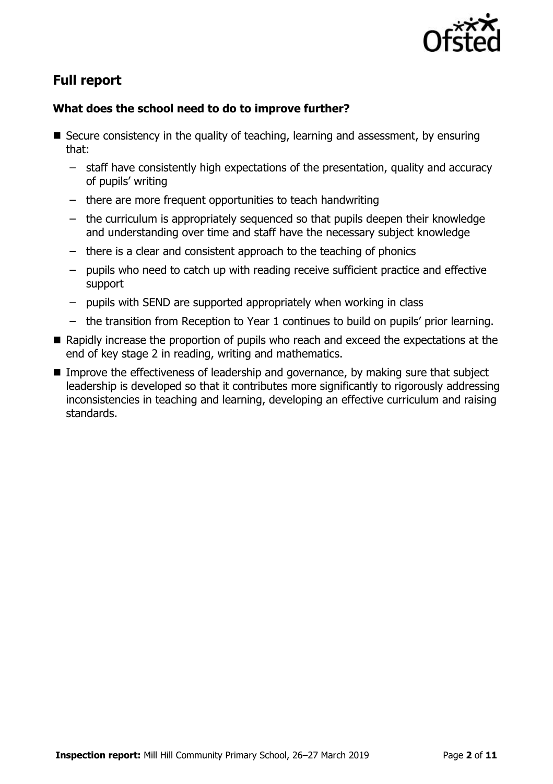

# **Full report**

### **What does the school need to do to improve further?**

- $\blacksquare$  Secure consistency in the quality of teaching, learning and assessment, by ensuring that:
	- staff have consistently high expectations of the presentation, quality and accuracy of pupils' writing
	- there are more frequent opportunities to teach handwriting
	- the curriculum is appropriately sequenced so that pupils deepen their knowledge and understanding over time and staff have the necessary subject knowledge
	- there is a clear and consistent approach to the teaching of phonics
	- pupils who need to catch up with reading receive sufficient practice and effective support
	- pupils with SEND are supported appropriately when working in class
	- the transition from Reception to Year 1 continues to build on pupils' prior learning.
- Rapidly increase the proportion of pupils who reach and exceed the expectations at the end of key stage 2 in reading, writing and mathematics.
- Improve the effectiveness of leadership and governance, by making sure that subject leadership is developed so that it contributes more significantly to rigorously addressing inconsistencies in teaching and learning, developing an effective curriculum and raising standards.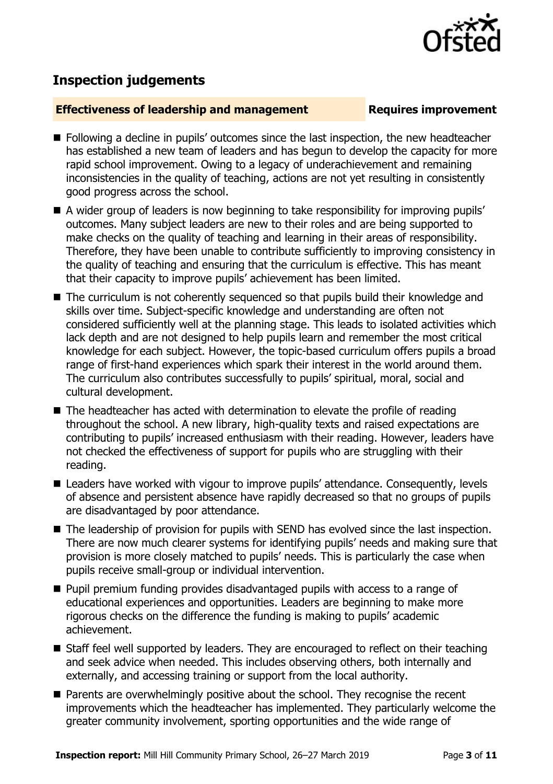

# **Inspection judgements**

### **Effectiveness of leadership and management Requires improvement**

- **Following a decline in pupils' outcomes since the last inspection, the new headteacher** has established a new team of leaders and has begun to develop the capacity for more rapid school improvement. Owing to a legacy of underachievement and remaining inconsistencies in the quality of teaching, actions are not yet resulting in consistently good progress across the school.
- A wider group of leaders is now beginning to take responsibility for improving pupils' outcomes. Many subject leaders are new to their roles and are being supported to make checks on the quality of teaching and learning in their areas of responsibility. Therefore, they have been unable to contribute sufficiently to improving consistency in the quality of teaching and ensuring that the curriculum is effective. This has meant that their capacity to improve pupils' achievement has been limited.
- The curriculum is not coherently sequenced so that pupils build their knowledge and skills over time. Subject-specific knowledge and understanding are often not considered sufficiently well at the planning stage. This leads to isolated activities which lack depth and are not designed to help pupils learn and remember the most critical knowledge for each subject. However, the topic-based curriculum offers pupils a broad range of first-hand experiences which spark their interest in the world around them. The curriculum also contributes successfully to pupils' spiritual, moral, social and cultural development.
- $\blacksquare$  The headteacher has acted with determination to elevate the profile of reading throughout the school. A new library, high-quality texts and raised expectations are contributing to pupils' increased enthusiasm with their reading. However, leaders have not checked the effectiveness of support for pupils who are struggling with their reading.
- Leaders have worked with vigour to improve pupils' attendance. Consequently, levels of absence and persistent absence have rapidly decreased so that no groups of pupils are disadvantaged by poor attendance.
- The leadership of provision for pupils with SEND has evolved since the last inspection. There are now much clearer systems for identifying pupils' needs and making sure that provision is more closely matched to pupils' needs. This is particularly the case when pupils receive small-group or individual intervention.
- **Pupil premium funding provides disadvantaged pupils with access to a range of** educational experiences and opportunities. Leaders are beginning to make more rigorous checks on the difference the funding is making to pupils' academic achievement.
- Staff feel well supported by leaders. They are encouraged to reflect on their teaching and seek advice when needed. This includes observing others, both internally and externally, and accessing training or support from the local authority.
- Parents are overwhelmingly positive about the school. They recognise the recent improvements which the headteacher has implemented. They particularly welcome the greater community involvement, sporting opportunities and the wide range of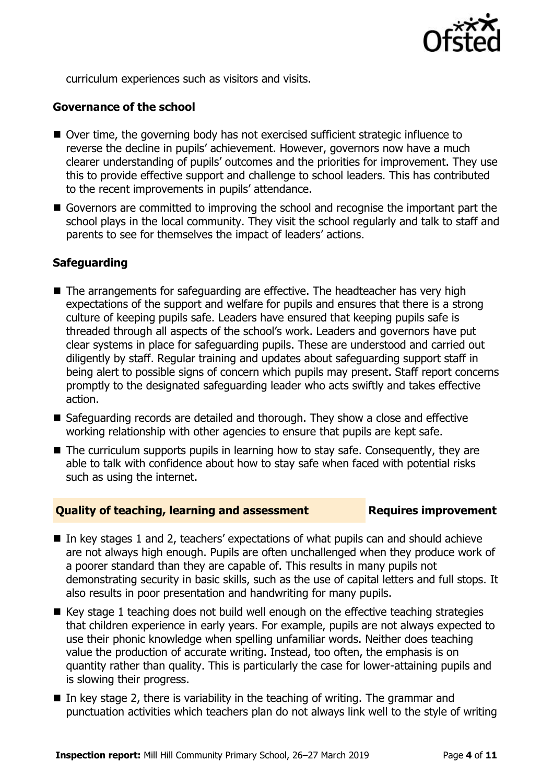

curriculum experiences such as visitors and visits.

### **Governance of the school**

- Over time, the governing body has not exercised sufficient strategic influence to reverse the decline in pupils' achievement. However, governors now have a much clearer understanding of pupils' outcomes and the priorities for improvement. They use this to provide effective support and challenge to school leaders. This has contributed to the recent improvements in pupils' attendance.
- Governors are committed to improving the school and recognise the important part the school plays in the local community. They visit the school regularly and talk to staff and parents to see for themselves the impact of leaders' actions.

### **Safeguarding**

- The arrangements for safeguarding are effective. The headteacher has very high expectations of the support and welfare for pupils and ensures that there is a strong culture of keeping pupils safe. Leaders have ensured that keeping pupils safe is threaded through all aspects of the school's work. Leaders and governors have put clear systems in place for safeguarding pupils. These are understood and carried out diligently by staff. Regular training and updates about safeguarding support staff in being alert to possible signs of concern which pupils may present. Staff report concerns promptly to the designated safeguarding leader who acts swiftly and takes effective action.
- Safeguarding records are detailed and thorough. They show a close and effective working relationship with other agencies to ensure that pupils are kept safe.
- $\blacksquare$  The curriculum supports pupils in learning how to stay safe. Consequently, they are able to talk with confidence about how to stay safe when faced with potential risks such as using the internet.

### **Quality of teaching, learning and assessment Requires improvement**

- In key stages 1 and 2, teachers' expectations of what pupils can and should achieve are not always high enough. Pupils are often unchallenged when they produce work of a poorer standard than they are capable of. This results in many pupils not demonstrating security in basic skills, such as the use of capital letters and full stops. It also results in poor presentation and handwriting for many pupils.
- $\blacksquare$  Key stage 1 teaching does not build well enough on the effective teaching strategies that children experience in early years. For example, pupils are not always expected to use their phonic knowledge when spelling unfamiliar words. Neither does teaching value the production of accurate writing. Instead, too often, the emphasis is on quantity rather than quality. This is particularly the case for lower-attaining pupils and is slowing their progress.
- In key stage 2, there is variability in the teaching of writing. The grammar and punctuation activities which teachers plan do not always link well to the style of writing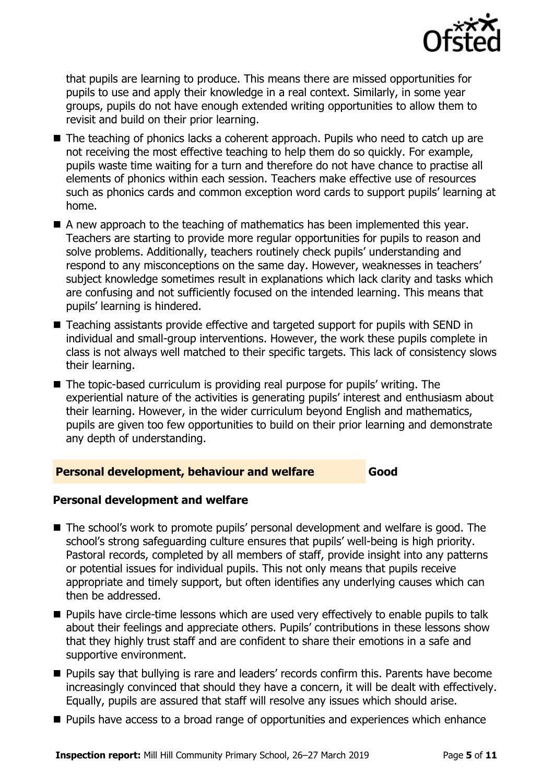

that pupils are learning to produce. This means there are missed opportunities for pupils to use and apply their knowledge in a real context. Similarly, in some year groups, pupils do not have enough extended writing opportunities to allow them to revisit and build on their prior learning.

- The teaching of phonics lacks a coherent approach. Pupils who need to catch up are not receiving the most effective teaching to help them do so quickly. For example, pupils waste time waiting for a turn and therefore do not have chance to practise all elements of phonics within each session. Teachers make effective use of resources such as phonics cards and common exception word cards to support pupils' learning at home.
- A new approach to the teaching of mathematics has been implemented this year. Teachers are starting to provide more regular opportunities for pupils to reason and solve problems. Additionally, teachers routinely check pupils' understanding and respond to any misconceptions on the same day. However, weaknesses in teachers' subject knowledge sometimes result in explanations which lack clarity and tasks which are confusing and not sufficiently focused on the intended learning. This means that pupils' learning is hindered.
- Teaching assistants provide effective and targeted support for pupils with SEND in individual and small-group interventions. However, the work these pupils complete in class is not always well matched to their specific targets. This lack of consistency slows their learning.
- The topic-based curriculum is providing real purpose for pupils' writing. The experiential nature of the activities is generating pupils' interest and enthusiasm about their learning. However, in the wider curriculum beyond English and mathematics, pupils are given too few opportunities to build on their prior learning and demonstrate any depth of understanding.

### **Personal development, behaviour and welfare Good**

### **Personal development and welfare**

- The school's work to promote pupils' personal development and welfare is good. The school's strong safeguarding culture ensures that pupils' well-being is high priority. Pastoral records, completed by all members of staff, provide insight into any patterns or potential issues for individual pupils. This not only means that pupils receive appropriate and timely support, but often identifies any underlying causes which can then be addressed.
- **Pupils have circle-time lessons which are used very effectively to enable pupils to talk** about their feelings and appreciate others. Pupils' contributions in these lessons show that they highly trust staff and are confident to share their emotions in a safe and supportive environment.
- **Pupils say that bullying is rare and leaders' records confirm this. Parents have become** increasingly convinced that should they have a concern, it will be dealt with effectively. Equally, pupils are assured that staff will resolve any issues which should arise.
- **Pupils have access to a broad range of opportunities and experiences which enhance**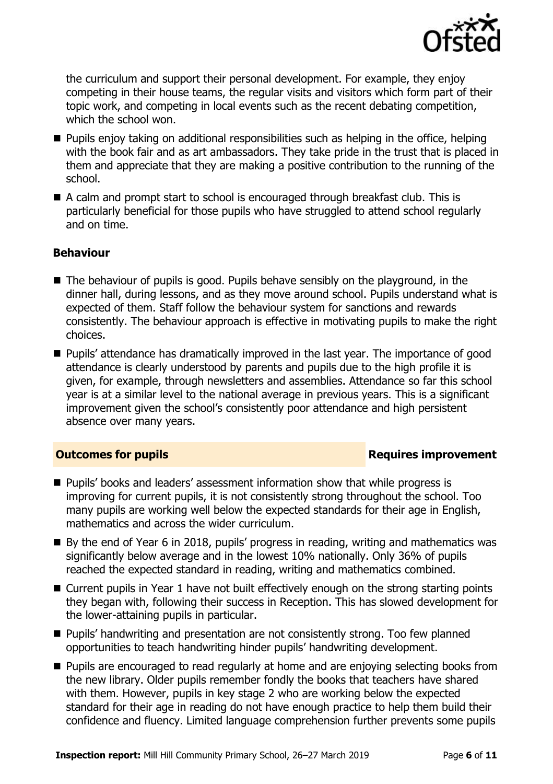

the curriculum and support their personal development. For example, they enjoy competing in their house teams, the regular visits and visitors which form part of their topic work, and competing in local events such as the recent debating competition, which the school won.

- Pupils enjoy taking on additional responsibilities such as helping in the office, helping with the book fair and as art ambassadors. They take pride in the trust that is placed in them and appreciate that they are making a positive contribution to the running of the school.
- A calm and prompt start to school is encouraged through breakfast club. This is particularly beneficial for those pupils who have struggled to attend school regularly and on time.

### **Behaviour**

- $\blacksquare$  The behaviour of pupils is good. Pupils behave sensibly on the playground, in the dinner hall, during lessons, and as they move around school. Pupils understand what is expected of them. Staff follow the behaviour system for sanctions and rewards consistently. The behaviour approach is effective in motivating pupils to make the right choices.
- **Pupils'** attendance has dramatically improved in the last year. The importance of good attendance is clearly understood by parents and pupils due to the high profile it is given, for example, through newsletters and assemblies. Attendance so far this school year is at a similar level to the national average in previous years. This is a significant improvement given the school's consistently poor attendance and high persistent absence over many years.

### **Outcomes for pupils Requires improvement**

- **Pupils' books and leaders' assessment information show that while progress is** improving for current pupils, it is not consistently strong throughout the school. Too many pupils are working well below the expected standards for their age in English, mathematics and across the wider curriculum.
- By the end of Year 6 in 2018, pupils' progress in reading, writing and mathematics was significantly below average and in the lowest 10% nationally. Only 36% of pupils reached the expected standard in reading, writing and mathematics combined.
- Current pupils in Year 1 have not built effectively enough on the strong starting points they began with, following their success in Reception. This has slowed development for the lower-attaining pupils in particular.
- **Pupils' handwriting and presentation are not consistently strong. Too few planned** opportunities to teach handwriting hinder pupils' handwriting development.
- **Pupils are encouraged to read regularly at home and are enjoying selecting books from** the new library. Older pupils remember fondly the books that teachers have shared with them. However, pupils in key stage 2 who are working below the expected standard for their age in reading do not have enough practice to help them build their confidence and fluency. Limited language comprehension further prevents some pupils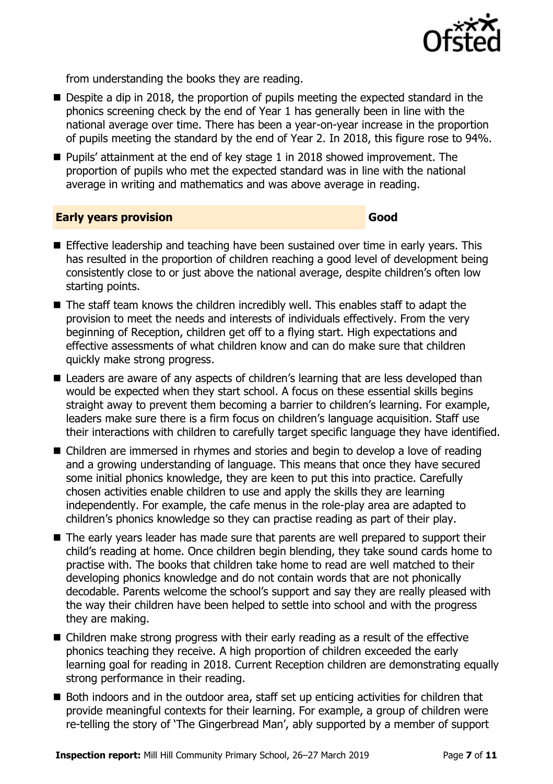

from understanding the books they are reading.

- Despite a dip in 2018, the proportion of pupils meeting the expected standard in the phonics screening check by the end of Year 1 has generally been in line with the national average over time. There has been a year-on-year increase in the proportion of pupils meeting the standard by the end of Year 2. In 2018, this figure rose to 94%.
- **Pupils' attainment at the end of key stage 1 in 2018 showed improvement. The** proportion of pupils who met the expected standard was in line with the national average in writing and mathematics and was above average in reading.

### **Early years provision Good Good**

- **Effective leadership and teaching have been sustained over time in early vears. This** has resulted in the proportion of children reaching a good level of development being consistently close to or just above the national average, despite children's often low starting points.
- $\blacksquare$  The staff team knows the children incredibly well. This enables staff to adapt the provision to meet the needs and interests of individuals effectively. From the very beginning of Reception, children get off to a flying start. High expectations and effective assessments of what children know and can do make sure that children quickly make strong progress.
- Leaders are aware of any aspects of children's learning that are less developed than would be expected when they start school. A focus on these essential skills begins straight away to prevent them becoming a barrier to children's learning. For example, leaders make sure there is a firm focus on children's language acquisition. Staff use their interactions with children to carefully target specific language they have identified.
- Children are immersed in rhymes and stories and begin to develop a love of reading and a growing understanding of language. This means that once they have secured some initial phonics knowledge, they are keen to put this into practice. Carefully chosen activities enable children to use and apply the skills they are learning independently. For example, the cafe menus in the role-play area are adapted to children's phonics knowledge so they can practise reading as part of their play.
- $\blacksquare$  The early years leader has made sure that parents are well prepared to support their child's reading at home. Once children begin blending, they take sound cards home to practise with. The books that children take home to read are well matched to their developing phonics knowledge and do not contain words that are not phonically decodable. Parents welcome the school's support and say they are really pleased with the way their children have been helped to settle into school and with the progress they are making.
- Children make strong progress with their early reading as a result of the effective phonics teaching they receive. A high proportion of children exceeded the early learning goal for reading in 2018. Current Reception children are demonstrating equally strong performance in their reading.
- Both indoors and in the outdoor area, staff set up enticing activities for children that provide meaningful contexts for their learning. For example, a group of children were re-telling the story of 'The Gingerbread Man', ably supported by a member of support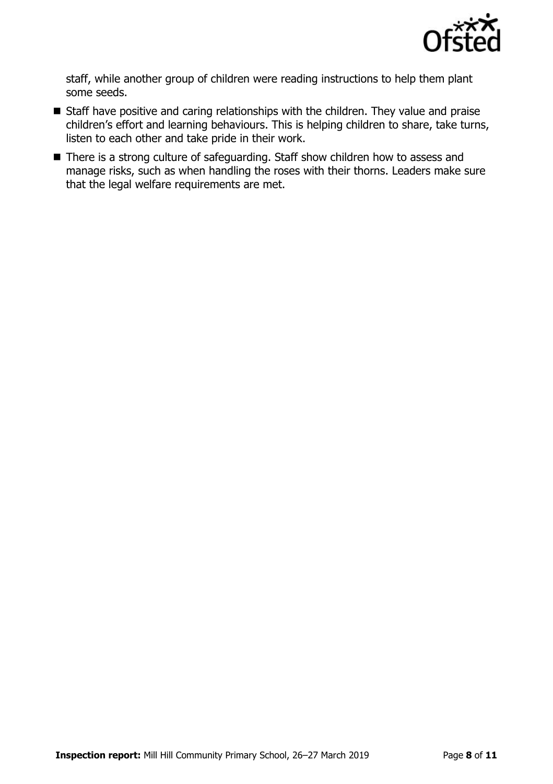

staff, while another group of children were reading instructions to help them plant some seeds.

- Staff have positive and caring relationships with the children. They value and praise children's effort and learning behaviours. This is helping children to share, take turns, listen to each other and take pride in their work.
- There is a strong culture of safeguarding. Staff show children how to assess and manage risks, such as when handling the roses with their thorns. Leaders make sure that the legal welfare requirements are met.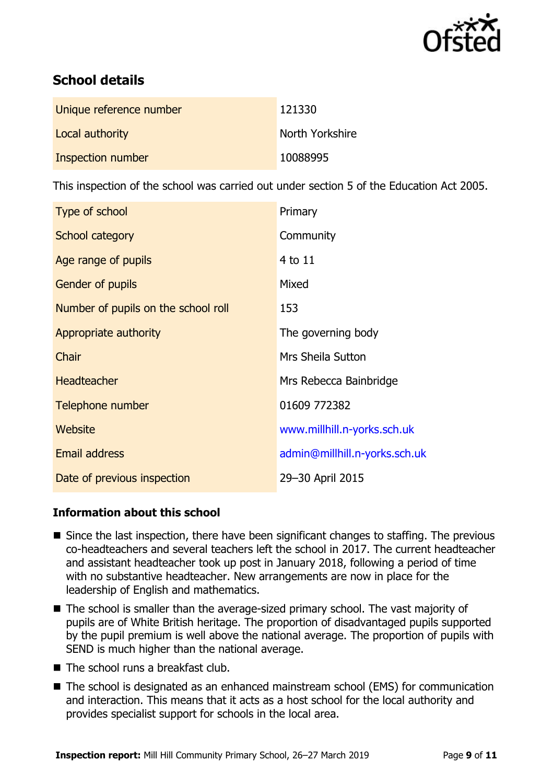

# **School details**

| Unique reference number | 121330          |
|-------------------------|-----------------|
| Local authority         | North Yorkshire |
| Inspection number       | 10088995        |

This inspection of the school was carried out under section 5 of the Education Act 2005.

| Type of school                      | Primary                       |
|-------------------------------------|-------------------------------|
| School category                     | Community                     |
| Age range of pupils                 | 4 to 11                       |
| <b>Gender of pupils</b>             | Mixed                         |
| Number of pupils on the school roll | 153                           |
| Appropriate authority               | The governing body            |
| Chair                               | <b>Mrs Sheila Sutton</b>      |
| <b>Headteacher</b>                  | Mrs Rebecca Bainbridge        |
| Telephone number                    | 01609 772382                  |
| Website                             | www.millhill.n-yorks.sch.uk   |
| <b>Email address</b>                | admin@millhill.n-yorks.sch.uk |
| Date of previous inspection         | 29-30 April 2015              |

### **Information about this school**

- Since the last inspection, there have been significant changes to staffing. The previous co-headteachers and several teachers left the school in 2017. The current headteacher and assistant headteacher took up post in January 2018, following a period of time with no substantive headteacher. New arrangements are now in place for the leadership of English and mathematics.
- The school is smaller than the average-sized primary school. The vast majority of pupils are of White British heritage. The proportion of disadvantaged pupils supported by the pupil premium is well above the national average. The proportion of pupils with SEND is much higher than the national average.
- $\blacksquare$  The school runs a breakfast club.
- The school is designated as an enhanced mainstream school (EMS) for communication and interaction. This means that it acts as a host school for the local authority and provides specialist support for schools in the local area.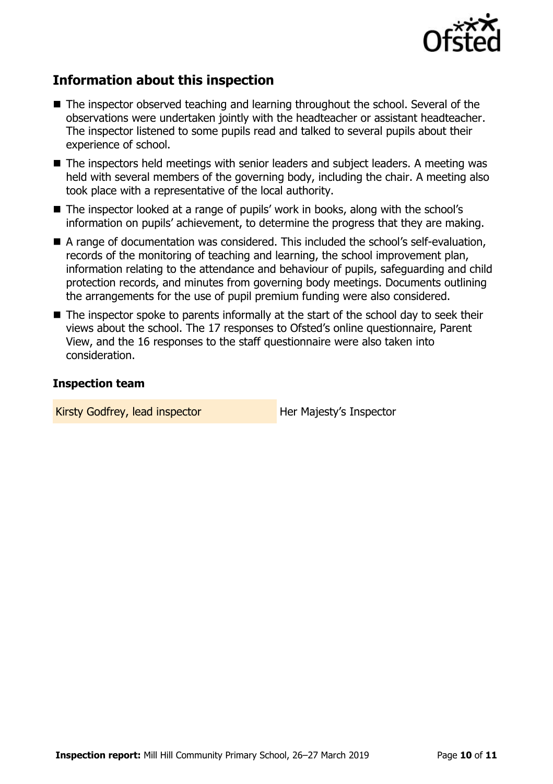

# **Information about this inspection**

- The inspector observed teaching and learning throughout the school. Several of the observations were undertaken jointly with the headteacher or assistant headteacher. The inspector listened to some pupils read and talked to several pupils about their experience of school.
- The inspectors held meetings with senior leaders and subject leaders. A meeting was held with several members of the governing body, including the chair. A meeting also took place with a representative of the local authority.
- The inspector looked at a range of pupils' work in books, along with the school's information on pupils' achievement, to determine the progress that they are making.
- A range of documentation was considered. This included the school's self-evaluation, records of the monitoring of teaching and learning, the school improvement plan, information relating to the attendance and behaviour of pupils, safeguarding and child protection records, and minutes from governing body meetings. Documents outlining the arrangements for the use of pupil premium funding were also considered.
- The inspector spoke to parents informally at the start of the school day to seek their views about the school. The 17 responses to Ofsted's online questionnaire, Parent View, and the 16 responses to the staff questionnaire were also taken into consideration.

### **Inspection team**

Kirsty Godfrey, lead inspector **Her Majesty's Inspector**